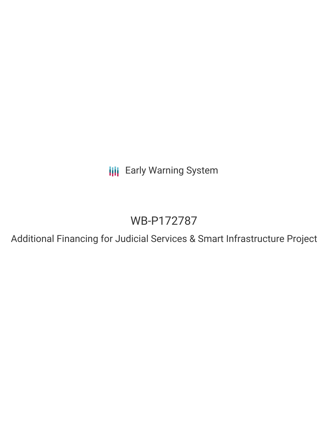**III** Early Warning System

# WB-P172787

Additional Financing for Judicial Services & Smart Infrastructure Project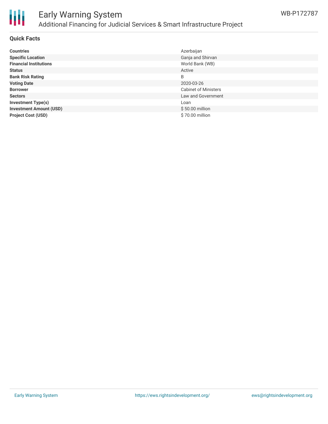

## Early Warning System Additional Financing for Judicial Services & Smart Infrastructure Project

#### **Quick Facts**

| <b>Countries</b>               | Azerbaijan                  |
|--------------------------------|-----------------------------|
| <b>Specific Location</b>       | Ganja and Shirvan           |
| <b>Financial Institutions</b>  | World Bank (WB)             |
| <b>Status</b>                  | Active                      |
| <b>Bank Risk Rating</b>        | B                           |
| <b>Voting Date</b>             | 2020-03-26                  |
| <b>Borrower</b>                | <b>Cabinet of Ministers</b> |
| <b>Sectors</b>                 | Law and Government          |
| <b>Investment Type(s)</b>      | Loan                        |
| <b>Investment Amount (USD)</b> | $$50.00$ million            |
| <b>Project Cost (USD)</b>      | \$70.00 million             |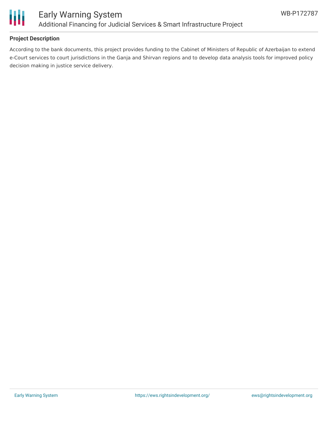

#### **Project Description**

According to the bank documents, this project provides funding to the Cabinet of Ministers of Republic of Azerbaijan to extend e-Court services to court jurisdictions in the Ganja and Shirvan regions and to develop data analysis tools for improved policy decision making in justice service delivery.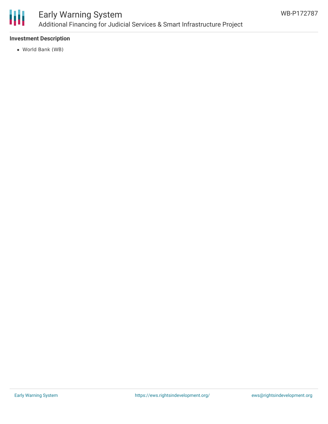

### Early Warning System Additional Financing for Judicial Services & Smart Infrastructure Project

#### **Investment Description**

World Bank (WB)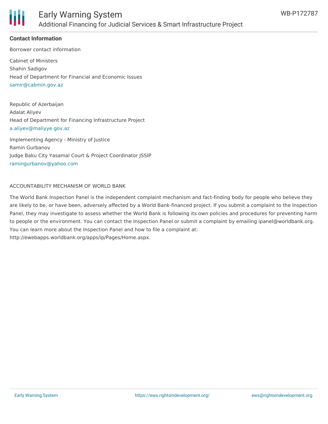

#### **Contact Information**

Borrower contact information Cabinet of Ministers Shahin Sadigov Head of Department for Financial and Economic Issues [samir@cabmin.gov.az](mailto:samir@cabmin.gov.az)

Republic of Azerbaijan Adalat Aliyev Head of Department for Financing Infrastructure Project [a.aliyev@maliyye.gov.az](mailto:a.aliyev@maliyye.gov.az)

Implementing Agency - Ministry of Justice Ramin Gurbanov Judge Baku City Yasamal Court & Project Coordinator JSSIP [ramingurbanov@yahoo.com](mailto:ramingurbanov@yahoo.com)

#### ACCOUNTABILITY MECHANISM OF WORLD BANK

The World Bank Inspection Panel is the independent complaint mechanism and fact-finding body for people who believe they are likely to be, or have been, adversely affected by a World Bank-financed project. If you submit a complaint to the Inspection Panel, they may investigate to assess whether the World Bank is following its own policies and procedures for preventing harm to people or the environment. You can contact the Inspection Panel or submit a complaint by emailing ipanel@worldbank.org. You can learn more about the Inspection Panel and how to file a complaint at: http://ewebapps.worldbank.org/apps/ip/Pages/Home.aspx.